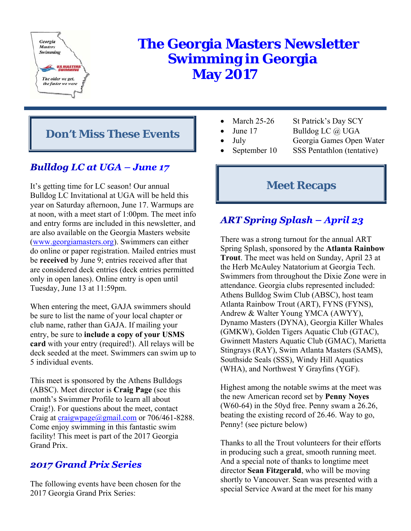

# **The Georgia Masters Newsletter Swimming in Georgia May 2017**

# **Don't Miss These Events**

# **Bulldog LC at UGA - June 17**

It's getting time for LC season! Our annual Bulldog LC Invitational at UGA will be held this year on Saturday afternoon, June 17. Warmups are at noon, with a meet start of 1:00pm. The meet info and entry forms are included in this newsletter, and are also available on the Georgia Masters website (www.georgiamasters.org). Swimmers can either do online or paper registration. Mailed entries must be **received** by June 9; entries received after that are considered deck entries (deck entries permitted only in open lanes). Online entry is open until Tuesday, June 13 at 11:59pm.

When entering the meet, GAJA swimmers should be sure to list the name of your local chapter or club name, rather than GAJA. If mailing your entry, be sure to **include a copy of your USMS card** with your entry (required!). All relays will be deck seeded at the meet. Swimmers can swim up to 5 individual events.

This meet is sponsored by the Athens Bulldogs (ABSC). Meet director is **Craig Page** (see this month's Swimmer Profile to learn all about Craig!). For questions about the meet, contact Craig at craigwpage@gmail.com or 706/461-8288. Come enjoy swimming in this fantastic swim facility! This meet is part of the 2017 Georgia Grand Prix.

## **2017 Grand Prix Series**

The following events have been chosen for the 2017 Georgia Grand Prix Series:

- - March 25-26 St Patrick's Day SCY
- 
- June 17 Bulldog LC @ UGA
	- July Georgia Games Open Water
- 
- September 10 SSS Pentathlon (tentative)

# **Meet Recaps**

# **ART Spring Splash - April 23**

There was a strong turnout for the annual ART Spring Splash, sponsored by the **Atlanta Rainbow Trout**. The meet was held on Sunday, April 23 at the Herb McAuley Natatorium at Georgia Tech. Swimmers from throughout the Dixie Zone were in attendance. Georgia clubs represented included: Athens Bulldog Swim Club (ABSC), host team Atlanta Rainbow Trout (ART), FYNS (FYNS), Andrew & Walter Young YMCA (AWYY), Dynamo Masters (DYNA), Georgia Killer Whales (GMKW), Golden Tigers Aquatic Club (GTAC), Gwinnett Masters Aquatic Club (GMAC), Marietta Stingrays (RAY), Swim Atlanta Masters (SAMS), Southside Seals (SSS), Windy Hill Aquatics (WHA), and Northwest Y Grayfins (YGF).

Highest among the notable swims at the meet was the new American record set by **Penny Noyes** (W60-64) in the 50yd free. Penny swam a 26.26, beating the existing record of 26.46. Way to go, Penny! (see picture below)

Thanks to all the Trout volunteers for their efforts in producing such a great, smooth running meet. And a special note of thanks to longtime meet director **Sean Fitzgerald**, who will be moving shortly to Vancouver. Sean was presented with a special Service Award at the meet for his many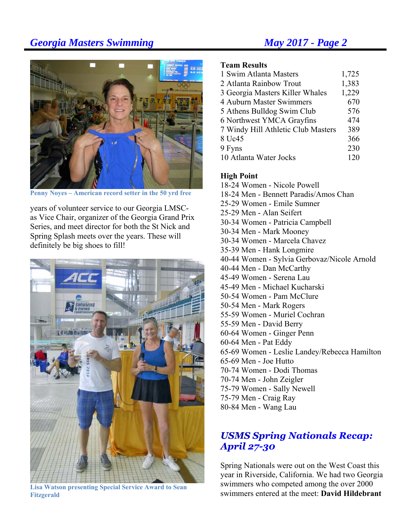

**Penny Noyes – American record setter in the 50 yrd free** 

years of volunteer service to our Georgia LMSCas Vice Chair, organizer of the Georgia Grand Prix Series, and meet director for both the St Nick and Spring Splash meets over the years. These will definitely be big shoes to fill!



**Lisa Watson presenting Special Service Award to Sean Fitzgerald** 

### **Team Results**

| 1 Swim Atlanta Masters             | 1,725 |
|------------------------------------|-------|
| 2 Atlanta Rainbow Trout            | 1,383 |
| 3 Georgia Masters Killer Whales    | 1,229 |
| 4 Auburn Master Swimmers           | 670   |
| 5 Athens Bulldog Swim Club         | 576   |
| 6 Northwest YMCA Grayfins          | 474   |
| 7 Windy Hill Athletic Club Masters | 389   |
| 8 Uc45                             | 366   |
| 9 Fyns                             | 230   |
| 10 Atlanta Water Jocks             | 120   |

### **High Point**

18-24 Women - Nicole Powell 18-24 Men - Bennett Paradis/Amos Chan 25-29 Women - Emile Sumner 25-29 Men - Alan Seifert 30-34 Women - Patricia Campbell 30-34 Men - Mark Mooney 30-34 Women - Marcela Chavez 35-39 Men - Hank Longmire 40-44 Women - Sylvia Gerbovaz/Nicole Arnold 40-44 Men - Dan McCarthy 45-49 Women - Serena Lau 45-49 Men - Michael Kucharski 50-54 Women - Pam McClure 50-54 Men - Mark Rogers 55-59 Women - Muriel Cochran 55-59 Men - David Berry 60-64 Women - Ginger Penn 60-64 Men - Pat Eddy 65-69 Women - Leslie Landey/Rebecca Hamilton 65-69 Men - Joe Hutto 70-74 Women - Dodi Thomas 70-74 Men - John Zeigler 75-79 Women - Sally Newell 75-79 Men - Craig Ray 80-84 Men - Wang Lau

## **USMS Spring Nationals Recap: April 27-30**

Spring Nationals were out on the West Coast this year in Riverside, California. We had two Georgia swimmers who competed among the over 2000 swimmers entered at the meet: **David Hildebrant**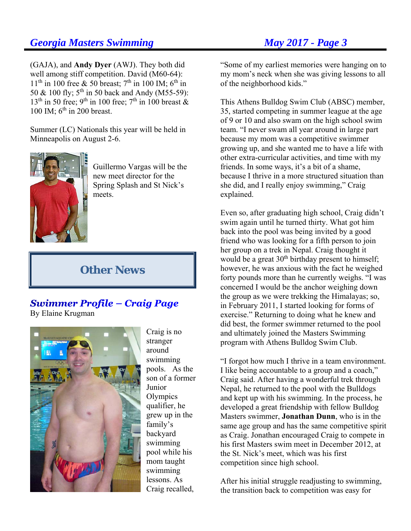(GAJA), and **Andy Dyer** (AWJ). They both did well among stiff competition. David (M60-64):  $11<sup>th</sup>$  in 100 free & 50 breast; 7<sup>th</sup> in 100 IM; 6<sup>th</sup> in 50 & 100 fly;  $5^{\text{th}}$  in 50 back and Andy (M55-59):  $13<sup>th</sup>$  in 50 free; 9<sup>th</sup> in 100 free; 7<sup>th</sup> in 100 breast & 100 IM;  $6<sup>th</sup>$  in 200 breast.

Summer (LC) Nationals this year will be held in Minneapolis on August 2-6.



Guillermo Vargas will be the new meet director for the Spring Splash and St Nick's meets.

# **Other News**

### **Swimmer Profile - Craig Page** By Elaine Krugman



Craig is no stranger around swimming pools. As the son of a former Junior **Olympics** qualifier, he grew up in the family's backyard swimming pool while his mom taught swimming lessons. As Craig recalled,

"Some of my earliest memories were hanging on to my mom's neck when she was giving lessons to all of the neighborhood kids."

This Athens Bulldog Swim Club (ABSC) member, 35, started competing in summer league at the age of 9 or 10 and also swam on the high school swim team. "I never swam all year around in large part because my mom was a competitive swimmer growing up, and she wanted me to have a life with other extra-curricular activities, and time with my friends. In some ways, it's a bit of a shame, because I thrive in a more structured situation than she did, and I really enjoy swimming," Craig explained.

Even so, after graduating high school, Craig didn't swim again until he turned thirty. What got him back into the pool was being invited by a good friend who was looking for a fifth person to join her group on a trek in Nepal. Craig thought it would be a great 30<sup>th</sup> birthday present to himself; however, he was anxious with the fact he weighed forty pounds more than he currently weighs. "I was concerned I would be the anchor weighing down the group as we were trekking the Himalayas; so, in February 2011, I started looking for forms of exercise." Returning to doing what he knew and did best, the former swimmer returned to the pool and ultimately joined the Masters Swimming program with Athens Bulldog Swim Club.

"I forgot how much I thrive in a team environment. I like being accountable to a group and a coach," Craig said. After having a wonderful trek through Nepal, he returned to the pool with the Bulldogs and kept up with his swimming. In the process, he developed a great friendship with fellow Bulldog Masters swimmer, **Jonathan Dunn**, who is in the same age group and has the same competitive spirit as Craig. Jonathan encouraged Craig to compete in his first Masters swim meet in December 2012, at the St. Nick's meet, which was his first competition since high school.

After his initial struggle readjusting to swimming, the transition back to competition was easy for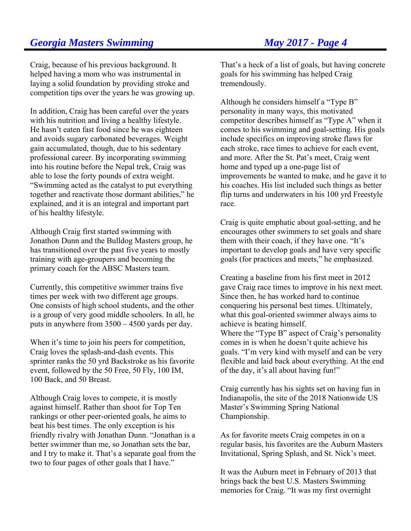Craig, because of his previous background. It helped having a mom who was instrumental in laying a solid foundation by providing stroke and competition tips over the years he was growing up.

In addition, Craig has been careful over the years with his nutrition and living a healthy lifestyle. He hasn't eaten fast food since he was eighteen and avoids sugary carbonated beverages. Weight gain accumulated, though, due to his sedentary professional career. By incorporating swimming into his routine before the Nepal trek, Craig was able to lose the forty pounds of extra weight. "Swimming acted as the catalyst to put everything together and reactivate those dormant abilities," he explained, and it is an integral and important part of his healthy lifestyle.

Although Craig first started swimming with Jonathon Dunn and the Bulldog Masters group, he has transitioned over the past five years to mostly training with age-groupers and becoming the primary coach for the ABSC Masters team.

Currently, this competitive swimmer trains five times per week with two different age groups. One consists of high school students, and the other is a group of very good middle schoolers. In all, he puts in anywhere from 3500 – 4500 yards per day.

When it's time to join his peers for competition, Craig loves the splash-and-dash events. This sprinter ranks the 50 yrd Backstroke as his favorite event, followed by the 50 Free, 50 Fly, 100 IM, 100 Back, and 50 Breast.

Although Craig loves to compete, it is mostly against himself. Rather than shoot for Top Ten rankings or other peer-oriented goals, he aims to beat his best times. The only exception is his friendly rivalry with Jonathan Dunn. "Jonathan is a better swimmer than me, so Jonathan sets the bar, and I try to make it. That's a separate goal from the two to four pages of other goals that I have."

That's a heck of a list of goals, but having concrete goals for his swimming has helped Craig tremendously.

Although he considers himself a "Type B" personality in many ways, this motivated competitor describes himself as "Type A" when it comes to his swimming and goal-setting. His goals include specifics on improving stroke flaws for each stroke, race times to achieve for each event, and more. After the St. Pat's meet, Craig went home and typed up a one-page list of improvements he wanted to make, and he gave it to his coaches. His list included such things as better flip turns and underwaters in his 100 yrd Freestyle race.

Craig is quite emphatic about goal-setting, and he encourages other swimmers to set goals and share them with their coach, if they have one. "It's important to develop goals and have very specific goals (for practices and meets," he emphasized.

Creating a baseline from his first meet in 2012 gave Craig race times to improve in his next meet. Since then, he has worked hard to continue conquering his personal best times. Ultimately, what this goal-oriented swimmer always aims to achieve is beating himself. Where the "Type B" aspect of Craig's personality comes in is when he doesn't quite achieve his goals. "I'm very kind with myself and can be very flexible and laid back about everything. At the end of the day, it's all about having fun!"

Craig currently has his sights set on having fun in Indianapolis, the site of the 2018 Nationwide US Master's Swimming Spring National Championship.

As for favorite meets Craig competes in on a regular basis, his favorites are the Auburn Masters Invitational, Spring Splash, and St. Nick's meet.

It was the Auburn meet in February of 2013 that brings back the best U.S. Masters Swimming memories for Craig. "It was my first overnight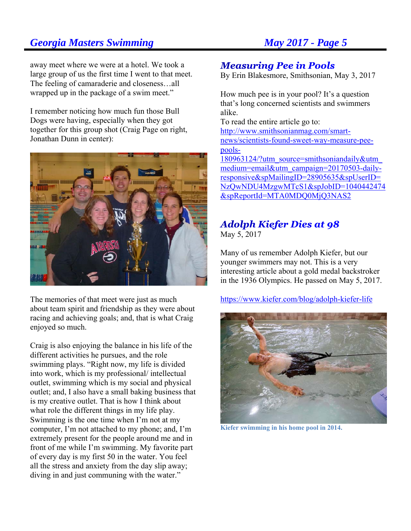away meet where we were at a hotel. We took a large group of us the first time I went to that meet. The feeling of camaraderie and closeness…all wrapped up in the package of a swim meet."

I remember noticing how much fun those Bull Dogs were having, especially when they got together for this group shot (Craig Page on right, Jonathan Dunn in center):



The memories of that meet were just as much about team spirit and friendship as they were about racing and achieving goals; and, that is what Craig enjoyed so much.

Craig is also enjoying the balance in his life of the different activities he pursues, and the role swimming plays. "Right now, my life is divided into work, which is my professional/ intellectual outlet, swimming which is my social and physical outlet; and, I also have a small baking business that is my creative outlet. That is how I think about what role the different things in my life play. Swimming is the one time when I'm not at my computer, I'm not attached to my phone; and, I'm extremely present for the people around me and in front of me while I'm swimming. My favorite part of every day is my first 50 in the water. You feel all the stress and anxiety from the day slip away; diving in and just communing with the water."

### **Measuring Pee in Pools**

By Erin Blakesmore, Smithsonian, May 3, 2017

How much pee is in your pool? It's a question that's long concerned scientists and swimmers alike.

To read the entire article go to: http://www.smithsonianmag.com/smartnews/scientists-found-sweet-way-measure-peepools-

180963124/?utm\_source=smithsoniandaily&utm\_ medium=email&utm\_campaign=20170503-dailyresponsive&spMailingID=28905635&spUserID= NzQwNDU4MzgwMTcS1&spJobID=1040442474 &spReportId=MTA0MDQ0MjQ3NAS2

# **Adolph Kiefer Dies at 98**

May 5, 2017

Many of us remember Adolph Kiefer, but our younger swimmers may not. This is a very interesting article about a gold medal backstroker in the 1936 Olympics. He passed on May 5, 2017.

https://www.kiefer.com/blog/adolph-kiefer-life



**Kiefer swimming in his home pool in 2014.**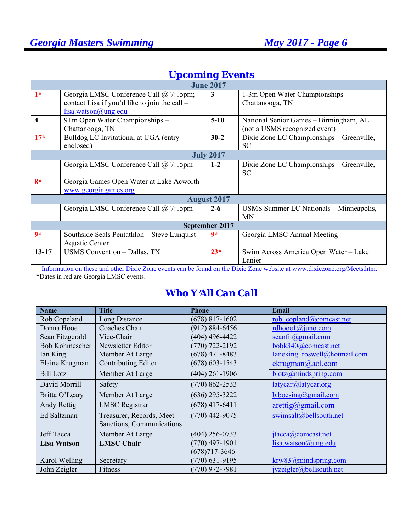|                | <b>June 2017</b>                              |                    |                                           |  |  |  |
|----------------|-----------------------------------------------|--------------------|-------------------------------------------|--|--|--|
| $1*$           | Georgia LMSC Conference Call @ 7:15pm;        | 3                  | 1-3m Open Water Championships –           |  |  |  |
|                | contact Lisa if you'd like to join the call – |                    | Chattanooga, TN                           |  |  |  |
|                | lisa.watson@ung.edu                           |                    |                                           |  |  |  |
| 4              | 9+m Open Water Championships -                | $5-10$             | National Senior Games – Birmingham, AL    |  |  |  |
|                | Chattanooga, TN                               |                    | (not a USMS recognized event)             |  |  |  |
| $17*$          | Bulldog LC Invitational at UGA (entry         | $30 - 2$           | Dixie Zone LC Championships - Greenville, |  |  |  |
|                | enclosed)                                     |                    | <b>SC</b>                                 |  |  |  |
|                |                                               | <b>July 2017</b>   |                                           |  |  |  |
|                | Georgia LMSC Conference Call @ 7:15pm         | $1 - 2$            | Dixie Zone LC Championships – Greenville, |  |  |  |
|                |                                               |                    | <b>SC</b>                                 |  |  |  |
| $8*$           | Georgia Games Open Water at Lake Acworth      |                    |                                           |  |  |  |
|                | www.georgiagames.org                          |                    |                                           |  |  |  |
|                |                                               | <b>August 2017</b> |                                           |  |  |  |
|                | Georgia LMSC Conference Call @ 7:15pm         | $2 - 6$            | USMS Summer LC Nationals - Minneapolis,   |  |  |  |
|                |                                               |                    | MN                                        |  |  |  |
| September 2017 |                                               |                    |                                           |  |  |  |
| $9*$           | Southside Seals Pentathlon – Steve Lunquist   | $9*$               | Georgia LMSC Annual Meeting               |  |  |  |
|                | Aquatic Center                                |                    |                                           |  |  |  |
| $13 - 17$      | USMS Convention - Dallas, TX                  | $23*$              | Swim Across America Open Water - Lake     |  |  |  |
|                |                                               |                    | Lanier                                    |  |  |  |

# *Upcoming Events*

 Information on these and other Dixie Zone events can be found on the Dixie Zone website at www.dixiezone.org/Meets.htm. \*Dates in red are Georgia LMSC events.

# *Who Y*=*All Can Call*

| <b>Name</b>           | <b>Title</b>              | <b>Phone</b>       | Email                              |
|-----------------------|---------------------------|--------------------|------------------------------------|
| Rob Copeland          | Long Distance             | $(678)$ 817-1602   | rob copland@comcast.net            |
| Donna Hooe            | Coaches Chair             | $(912) 884 - 6456$ | rdhooe1@juno.com                   |
| Sean Fitzgerald       | Vice-Chair                | (404) 496-4422     | seanfit $(a)$ gmail.com            |
| <b>Bob Kohmescher</b> | Newsletter Editor         | $(770)$ 722-2192   | bobk340@comcast.net                |
| Ian King              | Member At Large           | $(678)$ 471-8483   | Ianeking roswell@hotmail.com       |
| Elaine Krugman        | Contributing Editor       | $(678) 603 - 1543$ | ekrugman@aol.com                   |
| <b>Bill Lotz</b>      | Member At Large           | $(404)$ 261-1906   | blotz@mindspring.com               |
| David Morrill         | Safety                    | $(770) 862 - 2533$ | latycar@latycar.org                |
| Britta O'Leary        | Member At Large           | $(636)$ 295-3222   | b.boesing@gmail.com                |
| Andy Rettig           | <b>LMSC</b> Registrar     | $(678)$ 417-6411   | $\arcti\frac{g}{\omega}$ gmail.com |
| Ed Saltzman           | Treasurer, Records, Meet  | $(770)$ 442-9075   | swimsalt@bellsouth.net             |
|                       | Sanctions, Communications |                    |                                    |
| <b>Jeff Tacca</b>     | Member At Large           | $(404)$ 256-0733   | jtacca@comcast.net                 |
| <b>Lisa Watson</b>    | <b>LMSC Chair</b>         | $(770)$ 497-1901   | lisa.watson@ung.edu                |
|                       |                           | $(678)717 - 3646$  |                                    |
| Karol Welling         | Secretary                 | $(770)$ 631-9195   | krw83@mindspring.com               |
| John Zeigler          | Fitness                   | $(770)$ 972-7981   | jvzeigler@bellsouth.net            |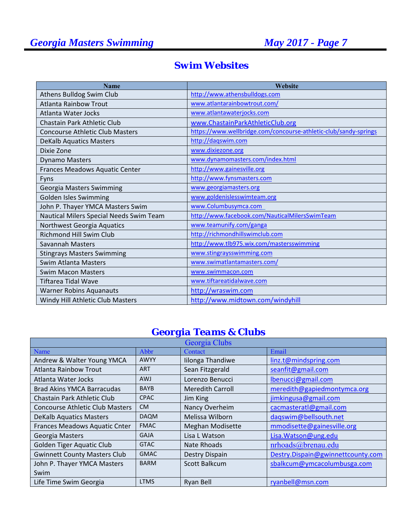| <b>Name</b>                             | Website                                                          |
|-----------------------------------------|------------------------------------------------------------------|
| Athens Bulldog Swim Club                | http://www.athensbulldogs.com                                    |
| <b>Atlanta Rainbow Trout</b>            | www.atlantarainbowtrout.com/                                     |
| Atlanta Water Jocks                     | www.atlantawaterjocks.com                                        |
| <b>Chastain Park Athletic Club</b>      | www.ChastainParkAthleticClub.org                                 |
| <b>Concourse Athletic Club Masters</b>  | https://www.wellbridge.com/concourse-athletic-club/sandy-springs |
| <b>DeKalb Aquatics Masters</b>          | http://dagswim.com                                               |
| Dixie Zone                              | www.dixiezone.org                                                |
| <b>Dynamo Masters</b>                   | www.dynamomasters.com/index.html                                 |
| Frances Meadows Aquatic Center          | http://www.gainesville.org                                       |
| Fyns                                    | http://www.fynsmasters.com                                       |
| Georgia Masters Swimming                | www.georgiamasters.org                                           |
| <b>Golden Isles Swimming</b>            | www.goldenislesswimteam.org                                      |
| John P. Thayer YMCA Masters Swim        | www.Columbusymca.com                                             |
| Nautical Milers Special Needs Swim Team | http://www.facebook.com/NauticalMilersSwimTeam                   |
| Northwest Georgia Aquatics              | www.teamunify.com/ganga                                          |
| <b>Richmond Hill Swim Club</b>          | http://richmondhillswimclub.com                                  |
| <b>Savannah Masters</b>                 | http://www.tlb975.wix.com/mastersswimming                        |
| <b>Stingrays Masters Swimming</b>       | www.stingraysswimming.com                                        |
| <b>Swim Atlanta Masters</b>             | www.swimatlantamasters.com/                                      |
| <b>Swim Macon Masters</b>               | www.swimmacon.com                                                |
| Tiftarea Tidal Wave                     | www.tiftareatidalwave.com                                        |
| <b>Warner Robins Aquanauts</b>          | http://wraswim.com                                               |
| Windy Hill Athletic Club Masters        | http://www.midtown.com/windyhill                                 |

# *Swim Websites*

# *Georgia Teams & Clubs*

| Georgia Clubs                          |             |                         |                                   |  |
|----------------------------------------|-------------|-------------------------|-----------------------------------|--|
| Name                                   | Abbr        | Contact                 | Email                             |  |
| Andrew & Walter Young YMCA             | <b>AWYY</b> | Iilonga Thandiwe        | linz.t@mindspring.com             |  |
| <b>Atlanta Rainbow Trout</b>           | <b>ART</b>  | Sean Fitzgerald         | seanfit@gmail.com                 |  |
| Atlanta Water Jocks                    | <b>AWJ</b>  | Lorenzo Benucci         | lbenucci@gmail.com                |  |
| <b>Brad Akins YMCA Barracudas</b>      | <b>BAYB</b> | <b>Meredith Carroll</b> | meredith@gapiedmontymca.org       |  |
| Chastain Park Athletic Club            | <b>CPAC</b> | Jim King                | jimkingusa@gmail.com              |  |
| <b>Concourse Athletic Club Masters</b> | <b>CM</b>   | Nancy Overheim          | cacmasteratl@gmail.com            |  |
| <b>DeKalb Aquatics Masters</b>         | <b>DAQM</b> | Melissa Wilborn         | daqswim@bellsouth.net             |  |
| Frances Meadows Aquatic Cnter          | <b>FMAC</b> | <b>Meghan Modisette</b> | mmodisette@gainesville.org        |  |
| Georgia Masters                        | <b>GAJA</b> | Lisa L Watson           | Lisa. Watson@ung.edu              |  |
| Golden Tiger Aquatic Club              | <b>GTAC</b> | <b>Nate Rhoads</b>      | nrhoads@brenau.edu                |  |
| <b>Gwinnett County Masters Club</b>    | <b>GMAC</b> | Destry Dispain          | Destry.Dispain@gwinnettcounty.com |  |
| John P. Thayer YMCA Masters            | <b>BARM</b> | Scott Balkcum           | sbalkcum@ymcacolumbusga.com       |  |
| Swim                                   |             |                         |                                   |  |
| Life Time Swim Georgia                 | <b>LTMS</b> | Ryan Bell               | ryanbell@msn.com                  |  |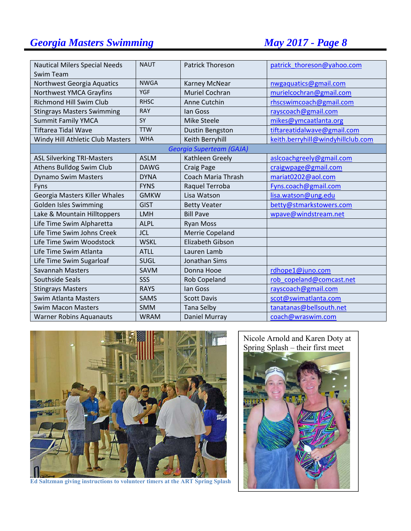| <b>Nautical Milers Special Needs</b> | <b>NAUT</b> | <b>Patrick Thoreson</b>         | patrick_thoreson@yahoo.com        |
|--------------------------------------|-------------|---------------------------------|-----------------------------------|
| Swim Team                            |             |                                 |                                   |
| Northwest Georgia Aquatics           | <b>NWGA</b> | Karney McNear                   | nwgaquatics@gmail.com             |
| Northwest YMCA Grayfins              | <b>YGF</b>  | Muriel Cochran                  | murielcochran@gmail.com           |
| <b>Richmond Hill Swim Club</b>       | <b>RHSC</b> | Anne Cutchin                    | rhscswimcoach@gmail.com           |
| <b>Stingrays Masters Swimming</b>    | <b>RAY</b>  | lan Goss                        | rayscoach@gmail.com               |
| <b>Summit Family YMCA</b>            | SY          | <b>Mike Steele</b>              | mikes@ymcaatlanta.org             |
| <b>Tiftarea Tidal Wave</b>           | <b>TTW</b>  | Dustin Bengston                 | tiftareatidalwave@gmail.com       |
| Windy Hill Athletic Club Masters     | <b>WHA</b>  | Keith Berryhill                 | keith.berryhill@windyhillclub.com |
|                                      |             | <b>Georgia Superteam (GAJA)</b> |                                   |
| <b>ASL Silverking TRI-Masters</b>    | <b>ASLM</b> | Kathleen Greely                 | aslcoachgreely@gmail.com          |
| Athens Bulldog Swim Club             | <b>DAWG</b> | <b>Craig Page</b>               | craigwpage@gmail.com              |
| <b>Dynamo Swim Masters</b>           | <b>DYNA</b> | <b>Coach Maria Thrash</b>       | mariat0202@aol.com                |
| Fyns                                 | <b>FYNS</b> | Raquel Terroba                  | Fyns.coach@gmail.com              |
| Georgia Masters Killer Whales        | <b>GMKW</b> | Lisa Watson                     | lisa.watson@ung.edu               |
| <b>Golden Isles Swimming</b>         | <b>GIST</b> | <b>Betty Veater</b>             | betty@stmarkstowers.com           |
| Lake & Mountain Hilltoppers          | LMH         | <b>Bill Pave</b>                | wpave@windstream.net              |
| Life Time Swim Alpharetta            | <b>ALPL</b> | <b>Ryan Moss</b>                |                                   |
| Life Time Swim Johns Creek           | <b>JCL</b>  | <b>Merrie Copeland</b>          |                                   |
| Life Time Swim Woodstock             | <b>WSKL</b> | <b>Elizabeth Gibson</b>         |                                   |
| Life Time Swim Atlanta               | <b>ATLL</b> | Lauren Lamb                     |                                   |
| Life Time Swim Sugarloaf             | <b>SUGL</b> | Jonathan Sims                   |                                   |
| <b>Savannah Masters</b>              | <b>SAVM</b> | Donna Hooe                      | rdhope1@juno.com                  |
| Southside Seals                      | SSS         | <b>Rob Copeland</b>             | rob copeland@comcast.net          |
| <b>Stingrays Masters</b>             | <b>RAYS</b> | lan Goss                        | rayscoach@gmail.com               |
| Swim Atlanta Masters                 | <b>SAMS</b> | <b>Scott Davis</b>              | scot@swimatlanta.com              |
| <b>Swim Macon Masters</b>            | <b>SMM</b>  | <b>Tana Selby</b>               | tanatanas@bellsouth.net           |
| <b>Warner Robins Aquanauts</b>       | <b>WRAM</b> | Daniel Murray                   | coach@wraswim.com                 |



**Ed Saltzman giving instructions to volunteer timers at the ART Spring Splash** 

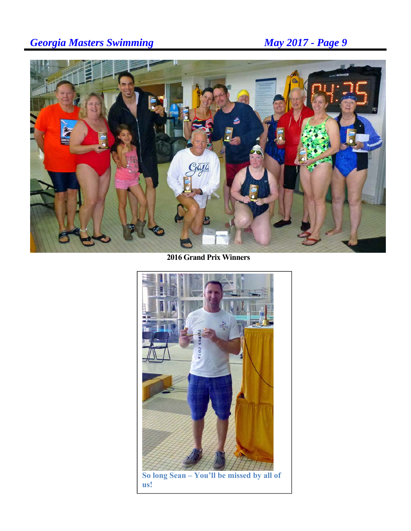

**2016 Grand Prix Winners** 



**us!**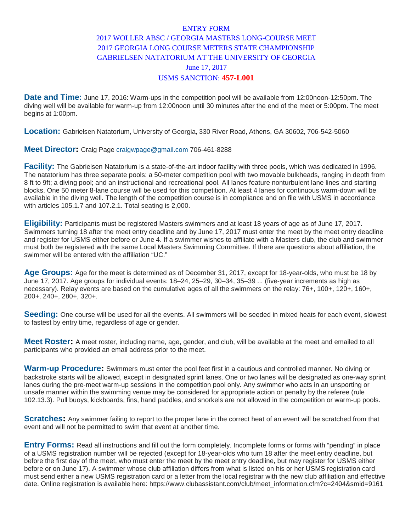### ENTRY FORM 2017 WOLLER ABSC / GEORGIA MASTERS LONG-COURSE MEET 2017 GEORGIA LONG COURSE METERS STATE CHAMPIONSHIP GABRIELSEN NATATORIUM AT THE UNIVERSITY OF GEORGIA June 17, 2017 USMS SANCTION: **457-L001**

**Date and Time:** June 17, 2016: Warm-ups in the competition pool will be available from 12:00noon-12:50pm. The diving well will be available for warm-up from 12:00noon until 30 minutes after the end of the meet or 5:00pm. The meet begins at 1:00pm.

**Location:** Gabrielsen Natatorium, University of Georgia, 330 River Road, Athens, GA 30602, 706-542-5060

#### **Meet Director:** Craig Page craigwpage@gmail.com 706-461-8288

**Facility:** The Gabrielsen Natatorium is a state-of-the-art indoor facility with three pools, which was dedicated in 1996. The natatorium has three separate pools: a 50-meter competition pool with two movable bulkheads, ranging in depth from 8 ft to 9ft; a diving pool; and an instructional and recreational pool. All lanes feature nonturbulent lane lines and starting blocks. One 50 meter 8-lane course will be used for this competition. At least 4 lanes for continuous warm-down will be available in the diving well. The length of the competition course is in compliance and on file with USMS in accordance with articles 105.1.7 and 107.2.1. Total seating is 2,000.

**Eligibility:** Participants must be registered Masters swimmers and at least 18 years of age as of June 17, 2017. Swimmers turning 18 after the meet entry deadline and by June 17, 2017 must enter the meet by the meet entry deadline and register for USMS either before or June 4. If a swimmer wishes to affiliate with a Masters club, the club and swimmer must both be registered with the same Local Masters Swimming Committee. If there are questions about affiliation, the swimmer will be entered with the affiliation "UC."

**Age Groups:** Age for the meet is determined as of December 31, 2017, except for 18-year-olds, who must be 18 by June 17, 2017. Age groups for individual events: 18–24, 25–29, 30–34, 35–39 ... (five-year increments as high as necessary). Relay events are based on the cumulative ages of all the swimmers on the relay: 76+, 100+, 120+, 160+, 200+, 240+, 280+, 320+.

**Seeding:** One course will be used for all the events. All swimmers will be seeded in mixed heats for each event, slowest to fastest by entry time, regardless of age or gender.

**Meet Roster:** A meet roster, including name, age, gender, and club, will be available at the meet and emailed to all participants who provided an email address prior to the meet.

**Warm-up Procedure:** Swimmers must enter the pool feet first in a cautious and controlled manner. No diving or backstroke starts will be allowed, except in designated sprint lanes. One or two lanes will be designated as one-way sprint lanes during the pre-meet warm-up sessions in the competition pool only. Any swimmer who acts in an unsporting or unsafe manner within the swimming venue may be considered for appropriate action or penalty by the referee (rule 102.13.3). Pull buoys, kickboards, fins, hand paddles, and snorkels are not allowed in the competition or warm-up pools.

**Scratches:** Any swimmer failing to report to the proper lane in the correct heat of an event will be scratched from that event and will not be permitted to swim that event at another time.

**Entry Forms:** Read all instructions and fill out the form completely. Incomplete forms or forms with "pending" in place of a USMS registration number will be rejected (except for 18-year-olds who turn 18 after the meet entry deadline, but before the first day of the meet, who must enter the meet by the meet entry deadline, but may register for USMS either before or on June 17). A swimmer whose club affiliation differs from what is listed on his or her USMS registration card must send either a new USMS registration card or a letter from the local registrar with the new club affiliation and effective date. Online registration is available here: https://www.clubassistant.com/club/meet\_information.cfm?c=2404&smid=9161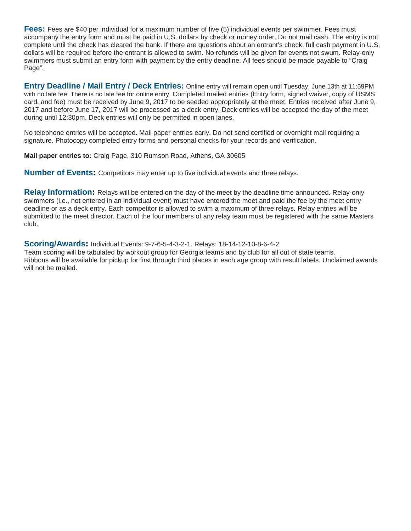**Fees:** Fees are \$40 per individual for a maximum number of five (5) individual events per swimmer. Fees must accompany the entry form and must be paid in U.S. dollars by check or money order. Do not mail cash. The entry is not complete until the check has cleared the bank. If there are questions about an entrant's check, full cash payment in U.S. dollars will be required before the entrant is allowed to swim. No refunds will be given for events not swum. Relay-only swimmers must submit an entry form with payment by the entry deadline. All fees should be made payable to "Craig Page".

**Entry Deadline / Mail Entry / Deck Entries:** Online entry will remain open until Tuesday, June 13th at 11:59PM with no late fee. There is no late fee for online entry. Completed mailed entries (Entry form, signed waiver, copy of USMS card, and fee) must be received by June 9, 2017 to be seeded appropriately at the meet. Entries received after June 9, 2017 and before June 17, 2017 will be processed as a deck entry. Deck entries will be accepted the day of the meet during until 12:30pm. Deck entries will only be permitted in open lanes.

No telephone entries will be accepted. Mail paper entries early. Do not send certified or overnight mail requiring a signature. Photocopy completed entry forms and personal checks for your records and verification.

**Mail paper entries to:** Craig Page, 310 Rumson Road, Athens, GA 30605

**Number of Events:** Competitors may enter up to five individual events and three relays.

**Relay Information:** Relays will be entered on the day of the meet by the deadline time announced. Relay-only swimmers (i.e., not entered in an individual event) must have entered the meet and paid the fee by the meet entry deadline or as a deck entry. Each competitor is allowed to swim a maximum of three relays. Relay entries will be submitted to the meet director. Each of the four members of any relay team must be registered with the same Masters club.

**Scoring/Awards:** Individual Events: 9-7-6-5-4-3-2-1. Relays: 18-14-12-10-8-6-4-2.

Team scoring will be tabulated by workout group for Georgia teams and by club for all out of state teams. Ribbons will be available for pickup for first through third places in each age group with result labels. Unclaimed awards will not be mailed.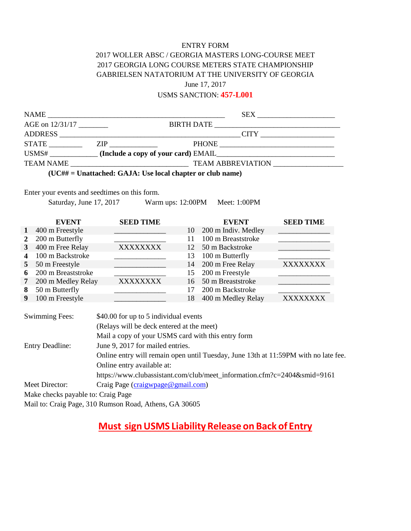#### ENTRY FORM

### 2017 WOLLER ABSC / GEORGIA MASTERS LONG-COURSE MEET 2017 GEORGIA LONG COURSE METERS STATE CHAMPIONSHIP GABRIELSEN NATATORIUM AT THE UNIVERSITY OF GEORGIA June 17, 2017

USMS SANCTION: **457-L001**

| AGE on 12/31/17                                           |  |                                                        |       |  |  |
|-----------------------------------------------------------|--|--------------------------------------------------------|-------|--|--|
|                                                           |  |                                                        |       |  |  |
|                                                           |  |                                                        | PHONE |  |  |
|                                                           |  | USMS# _____________(Include a copy of your card) EMAIL |       |  |  |
|                                                           |  |                                                        |       |  |  |
| (UC## = Unattached: GAJA: Use local chapter or club name) |  |                                                        |       |  |  |

Enter your events and seedtimes on this form.

Saturday, June 17, 2017 Warm ups: 12:00PM Meet: 1:00PM

|                | <b>EVENT</b>       | <b>SEED TIME</b> | <b>EVENT</b>              | <b>SEED TIME</b> |
|----------------|--------------------|------------------|---------------------------|------------------|
| $\mathbf{1}$   | 400 m Freestyle    |                  | 200 m Indiv. Medley<br>10 |                  |
| $\mathbf{2}$   | 200 m Butterfly    |                  | 100 m Breaststroke<br>11  |                  |
| 3 <sup>1</sup> | 400 m Free Relay   | <b>XXXXXXXX</b>  | 50 m Backstroke<br>12     |                  |
| 4              | 100 m Backstroke   |                  | 100 m Butterfly<br>13.    |                  |
|                | 5 50 m Freestyle   |                  | 14 200 m Free Relay       | <b>XXXXXXXX</b>  |
| 6              | 200 m Breaststroke |                  | 15 200 m Freestyle        |                  |
| 7              | 200 m Medley Relay | <b>XXXXXXXX</b>  | 50 m Breaststroke<br>16   |                  |
| 8              | 50 m Butterfly     |                  | 200 m Backstroke<br>17    |                  |
| 9              | 100 m Freestyle    |                  | 400 m Medley Relay<br>18  | XXXXXXXX         |

| <b>Swimming Fees:</b>                               | \$40.00 for up to 5 individual events                                               |  |  |  |
|-----------------------------------------------------|-------------------------------------------------------------------------------------|--|--|--|
|                                                     | (Relays will be deck entered at the meet)                                           |  |  |  |
|                                                     | Mail a copy of your USMS card with this entry form                                  |  |  |  |
| <b>Entry Deadline:</b>                              | June 9, 2017 for mailed entries.                                                    |  |  |  |
|                                                     | Online entry will remain open until Tuesday, June 13th at 11:59PM with no late fee. |  |  |  |
|                                                     | Online entry available at:                                                          |  |  |  |
|                                                     | https://www.clubassistant.com/club/meet_information.cfm?c=2404∣=9161                |  |  |  |
| Craig Page (craigwpage@gmail.com)<br>Meet Director: |                                                                                     |  |  |  |
| Make checks payable to: Craig Page                  |                                                                                     |  |  |  |
|                                                     | Mail to: Craig Page, 310 Rumson Road, Athens, GA 30605                              |  |  |  |

# **Must sign USMS Liability Release on Back of Entry**